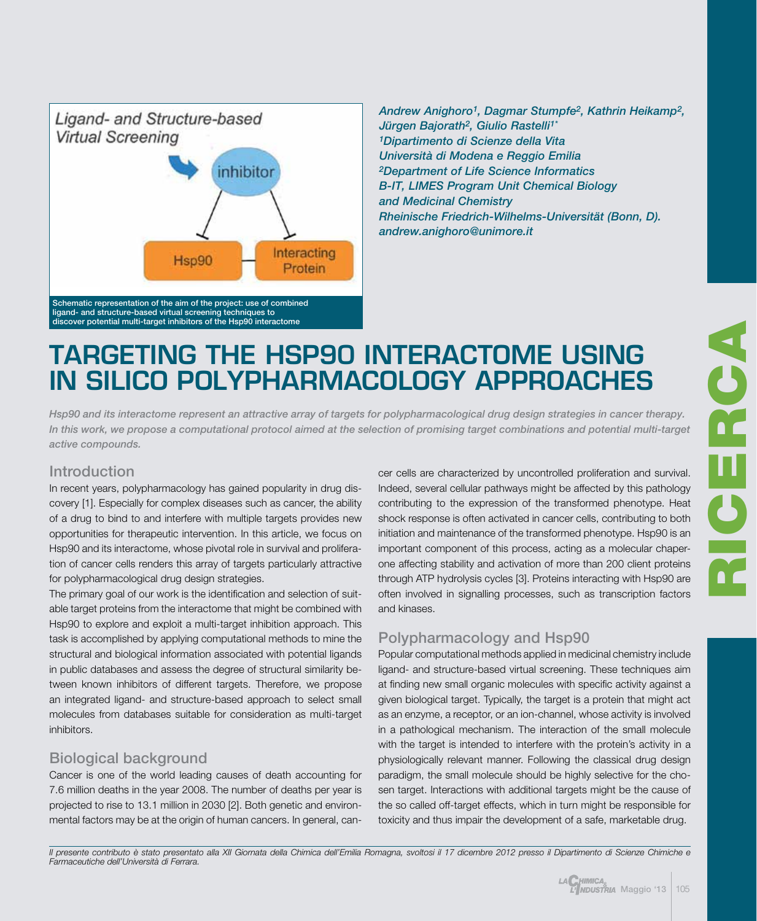

*Andrew Anighoro1, Dagmar Stumpfe2, Kathrin Heikamp2, Jürgen Bajorath2, Giulio Rastelli1\* 1Dipartimento di Scienze della Vita Università di Modena e Reggio Emilia 2Department of Life Science Informatics B-IT, LIMES Program Unit Chemical Biology and Medicinal Chemistry Rheinische Friedrich-Wilhelms-Universität (Bonn, D). andrew.anighoro@unimore.it*

# Targeting the Hsp90 interactome using in silico polypharmacology approaches

*Hsp90 and its interactome represent an attractive array of targets for polypharmacological drug design strategies in cancer therapy. In this work, we propose a computational protocol aimed at the selection of promising target combinations and potential multi-target active compounds.*

### Introduction

In recent years, polypharmacology has gained popularity in drug discovery [1]. Especially for complex diseases such as cancer, the ability of a drug to bind to and interfere with multiple targets provides new opportunities for therapeutic intervention. In this article, we focus on Hsp90 and its interactome, whose pivotal role in survival and proliferation of cancer cells renders this array of targets particularly attractive for polypharmacological drug design strategies.

The primary goal of our work is the identification and selection of suitable target proteins from the interactome that might be combined with Hsp90 to explore and exploit a multi-target inhibition approach. This task is accomplished by applying computational methods to mine the structural and biological information associated with potential ligands in public databases and assess the degree of structural similarity between known inhibitors of different targets. Therefore, we propose an integrated ligand- and structure-based approach to select small molecules from databases suitable for consideration as multi-target inhibitors.

## Biological background

Cancer is one of the world leading causes of death accounting for 7.6 million deaths in the year 2008. The number of deaths per year is projected to rise to 13.1 million in 2030 [2]. Both genetic and environmental factors may be at the origin of human cancers. In general, cancer cells are characterized by uncontrolled proliferation and survival. Indeed, several cellular pathways might be affected by this pathology contributing to the expression of the transformed phenotype. Heat shock response is often activated in cancer cells, contributing to both initiation and maintenance of the transformed phenotype. Hsp90 is an important component of this process, acting as a molecular chaperone affecting stability and activation of more than 200 client proteins through ATP hydrolysis cycles [3]. Proteins interacting with Hsp90 are often involved in signalling processes, such as transcription factors and kinases.

# Polypharmacology and Hsp90

Popular computational methods applied in medicinal chemistry include ligand- and structure-based virtual screening. These techniques aim at finding new small organic molecules with specific activity against a given biological target. Typically, the target is a protein that might act as an enzyme, a receptor, or an ion-channel, whose activity is involved in a pathological mechanism. The interaction of the small molecule with the target is intended to interfere with the protein's activity in a physiologically relevant manner. Following the classical drug design paradigm, the small molecule should be highly selective for the chosen target. Interactions with additional targets might be the cause of the so called off-target effects, which in turn might be responsible for toxicity and thus impair the development of a safe, marketable drug.

RICERCA L C L DE.

Il presente contributo è stato presentato alla XII Giornata della Chimica dell'Emilia Romagna, svoltosi il 17 dicembre 2012 presso il Dipartimento di Scienze Chimiche e *Farmaceutiche dell'Università di Ferrara.*